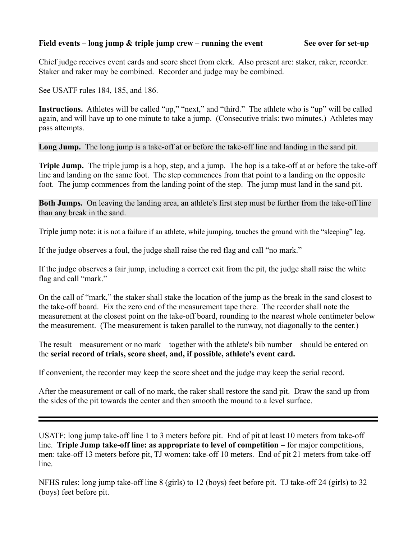## **Field events – long jump & triple jump crew – running the event See over for set-up**

Chief judge receives event cards and score sheet from clerk. Also present are: staker, raker, recorder. Staker and raker may be combined. Recorder and judge may be combined.

See USATF rules 184, 185, and 186.

**Instructions.** Athletes will be called "up," "next," and "third." The athlete who is "up" will be called again, and will have up to one minute to take a jump. (Consecutive trials: two minutes.) Athletes may pass attempts.

Long Jump. The long jump is a take-off at or before the take-off line and landing in the sand pit.

**Triple Jump.** The triple jump is a hop, step, and a jump. The hop is a take-off at or before the take-off line and landing on the same foot. The step commences from that point to a landing on the opposite foot. The jump commences from the landing point of the step. The jump must land in the sand pit.

**Both Jumps.** On leaving the landing area, an athlete's first step must be further from the take-off line than any break in the sand.

Triple jump note: it is not a failure if an athlete, while jumping, touches the ground with the "sleeping" leg.

If the judge observes a foul, the judge shall raise the red flag and call "no mark."

If the judge observes a fair jump, including a correct exit from the pit, the judge shall raise the white flag and call "mark."

On the call of "mark," the staker shall stake the location of the jump as the break in the sand closest to the take-off board. Fix the zero end of the measurement tape there. The recorder shall note the measurement at the closest point on the take-off board, rounding to the nearest whole centimeter below the measurement. (The measurement is taken parallel to the runway, not diagonally to the center.)

The result – measurement or no mark – together with the athlete's bib number – should be entered on the **serial record of trials, score sheet, and, if possible, athlete's event card.**

If convenient, the recorder may keep the score sheet and the judge may keep the serial record.

After the measurement or call of no mark, the raker shall restore the sand pit. Draw the sand up from the sides of the pit towards the center and then smooth the mound to a level surface.

USATF: long jump take-off line 1 to 3 meters before pit. End of pit at least 10 meters from take-off line. **Triple Jump take-off line: as appropriate to level of competition** – for major competitions, men: take-off 13 meters before pit, TJ women: take-off 10 meters. End of pit 21 meters from take-off line.

NFHS rules: long jump take-off line 8 (girls) to 12 (boys) feet before pit. TJ take-off 24 (girls) to 32 (boys) feet before pit.